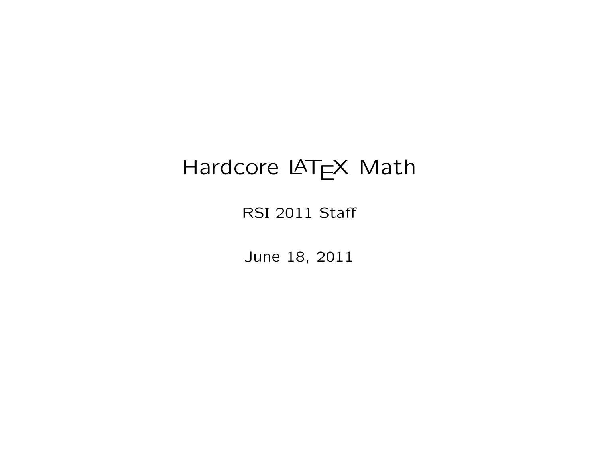# Hardcore LATEX Math

RSI 2011 Staff

June 18, 2011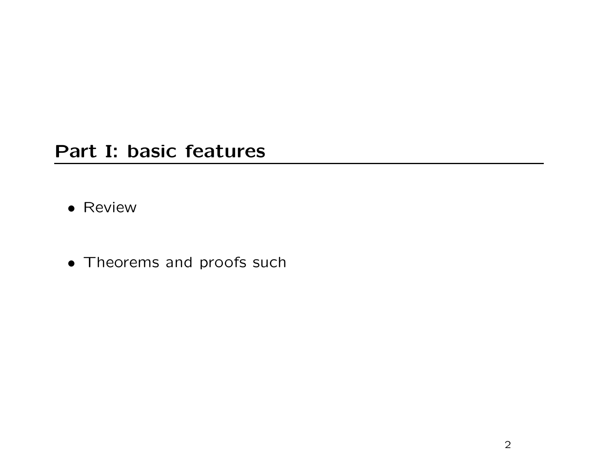#### Part I: basic features

- Review
- Theorems and proofs such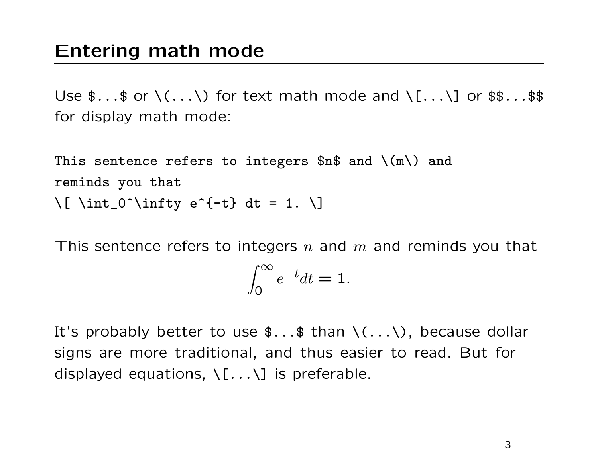Use  $\frac{1}{2}$ ...\$ or  $\langle$ ... $\rangle$  for text math mode and  $\langle$ [... $\rangle$ ] or  $\frac{1}{2}\$ ...\$\$ for display math mode:

This sentence refers to integers  $n\$  and  $\(m)$  and reminds you that  $\{ \$  \int\_0^\infty e^{-t} dt = 1. \]

This sentence refers to integers n and m and reminds you that

$$
\int_0^\infty e^{-t}dt = 1.
$$

It's probably better to use  $\frac{1}{2}$ ...  $\frac{1}{2}$  than  $\langle \ldots \rangle$ , because dollar signs are more traditional, and thus easier to read. But for displayed equations,  $\{.\,. \}\$  is preferable.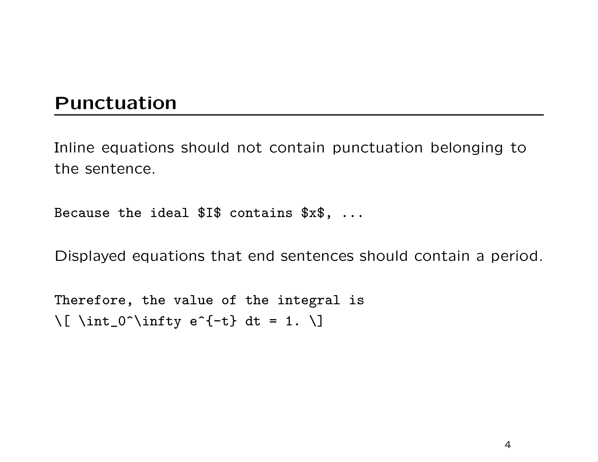### Punctuation

Inline equations should not contain punctuation belonging to the sentence.

Because the ideal  $I\$  contains  $x\$ , ...

Displayed equations that end sentences should contain a period.

Therefore, the value of the integral is  $\lceil \int_{0}^{\infty} \int_{0}^{\infty} \int_{0}^{\infty} e^{-(t)} dt = 1. \right\rceil$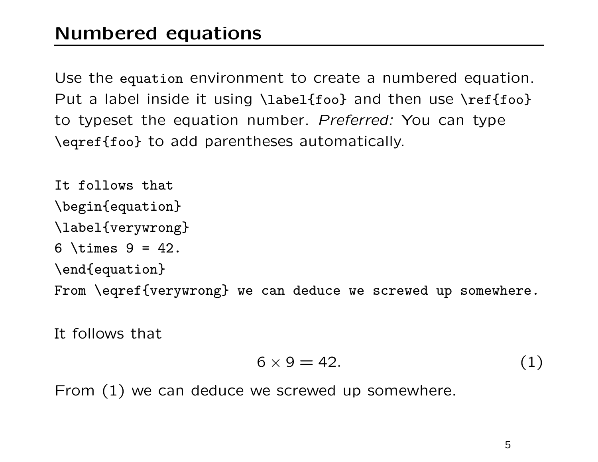Use the equation environment to create a numbered equation. Put a label inside it using \label{foo} and then use \ref{foo} to typeset the equation number. Preferred: You can type \eqref{foo} to add parentheses automatically.

It follows that \begin{equation} \label{verywrong} 6 \times  $9 = 42$ . \end{equation} From \eqref{verywrong} we can deduce we screwed up somewhere.

It follows that

$$
6 \times 9 = 42. \tag{1}
$$

From (1) we can deduce we screwed up somewhere.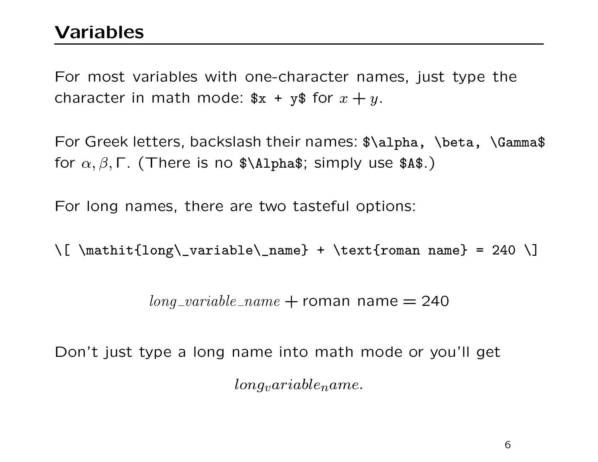For most variables with one-character names, just type the character in math mode:  $x + y$  for  $x + y$ .

For Greek letters, backslash their names:  $\lambda, \theta, \delta$  \beta, \Gamma\$ for  $\alpha, \beta, \Gamma$ . (There is no \$\Alpha\$; simply use \$A\$.)

For long names, there are two tasteful options:

\[ \mathit{long\\_variable\\_name} + \text{roman name} = 240 \]

 $long\_variable\_name + roman name = 240$ 

Don't just type a long name into math mode or you'll get  $longvariable name.$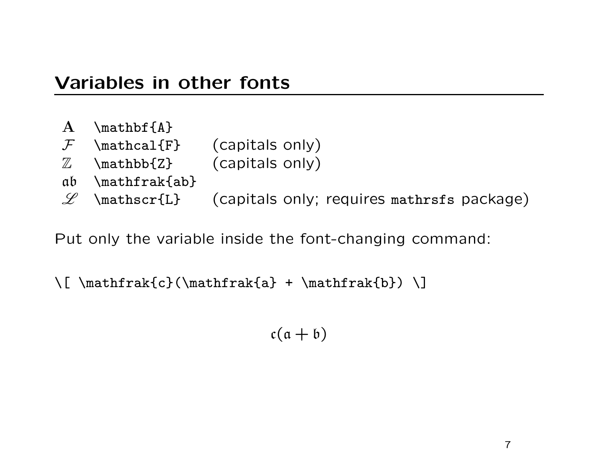### Variables in other fonts

- A  $\mathcal{A}$   $\mathcal{A}$
- $F$  \mathcal{F} (capitals only)
- $\mathbb{Z}$  \mathbb{Z} (capitals only)
- ab \mathfrak{ab}
- $\mathscr{L}$  \mathscr{L} (capitals only; requires mathrsfs package)

Put only the variable inside the font-changing command:

```
\[\ \{\mathsf{rank}\{c\}(\mathsf{rank}\{a\} + \mathsf{rank}\{b\})\]\]
```
 $c(a + b)$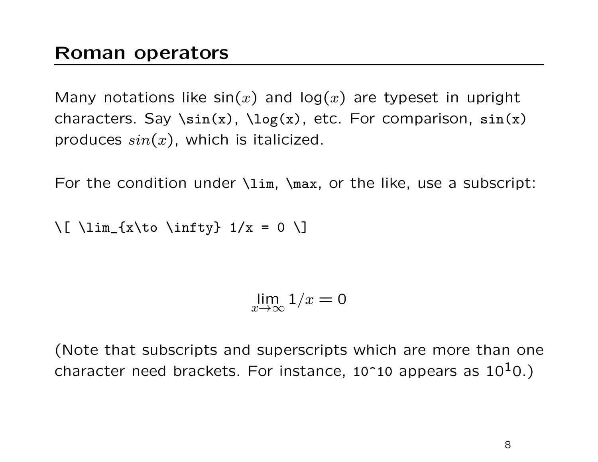Many notations like  $sin(x)$  and log(x) are typeset in upright characters. Say  $\sin(x)$ ,  $\log(x)$ , etc. For comparison,  $\sin(x)$ produces  $sin(x)$ , which is italicized.

For the condition under \lim, \max, or the like, use a subscript:

```
\lceil \frac{\{x\to 0 \in I\}}{1/x} = 0 \rceil
```
lim  $x \rightarrow \infty$  $1/x = 0$ 

(Note that subscripts and superscripts which are more than one character need brackets. For instance,  $10^10$  appears as  $10^10$ .)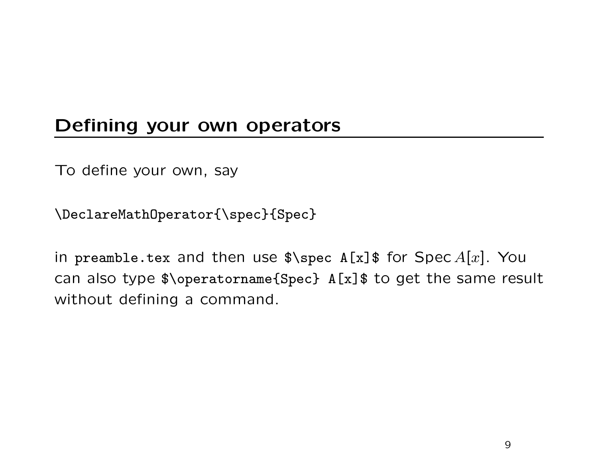## Defining your own operators

To define your own, say

\DeclareMathOperator{\spec}{Spec}

in preamble.tex and then use  $\gamma = \gamma s$  for Spec A[x]. You can also type \$\operatorname{Spec} A[x]\$ to get the same result without defining a command.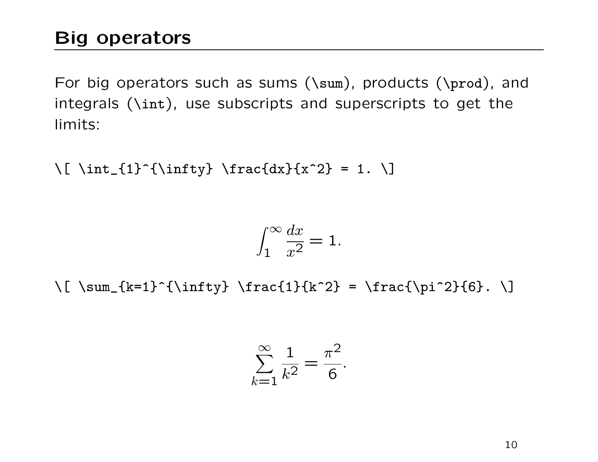# Big operators

For big operators such as sums (\sum), products (\prod), and integrals (\int), use subscripts and superscripts to get the limits:

 $\lceil \frac{1}{\int_{1}^{{\infty}} \frac{d}{x^2} = 1. \right\rceil$ 

$$
\int_1^\infty \frac{dx}{x^2} = 1.
$$

 $\lceil \sum_{k=1}^{{\infty}} \frac{1}{k^2} = \frac{\pi^2}{6}. \lceil \$ 

$$
\sum_{k=1}^{\infty} \frac{1}{k^2} = \frac{\pi^2}{6}.
$$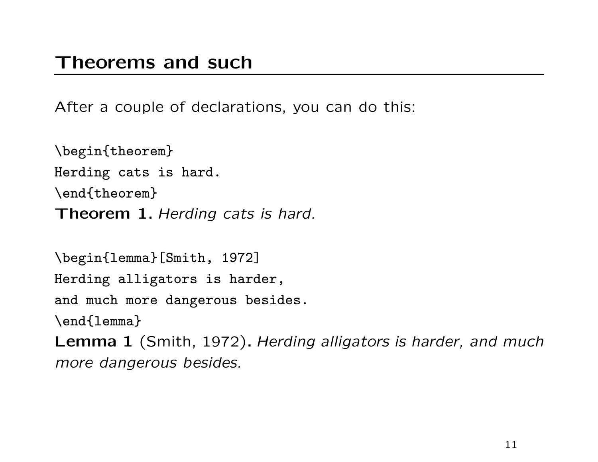After a couple of declarations, you can do this:

\begin{theorem} Herding cats is hard. \end{theorem} Theorem 1. Herding cats is hard.

\begin{lemma}[Smith, 1972] Herding alligators is harder, and much more dangerous besides. \end{lemma} Lemma 1 (Smith, 1972). Herding alligators is harder, and much

more dangerous besides.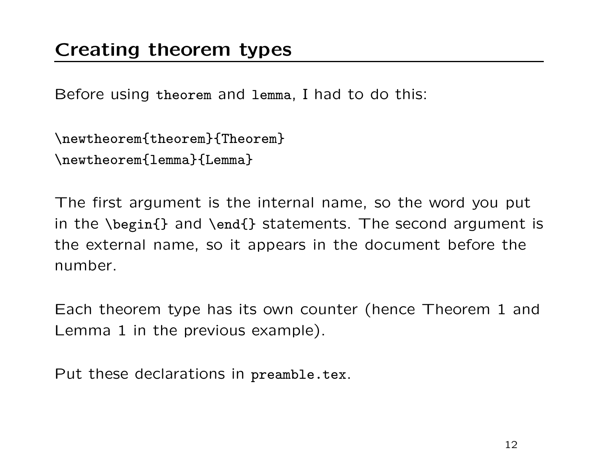Before using theorem and lemma, I had to do this:

```
\newtheorem{theorem}{Theorem}
\newtheorem{lemma}{Lemma}
```
The first argument is the internal name, so the word you put in the \begin{} and \end{} statements. The second argument is the external name, so it appears in the document before the number.

Each theorem type has its own counter (hence Theorem 1 and Lemma 1 in the previous example).

Put these declarations in preamble.tex.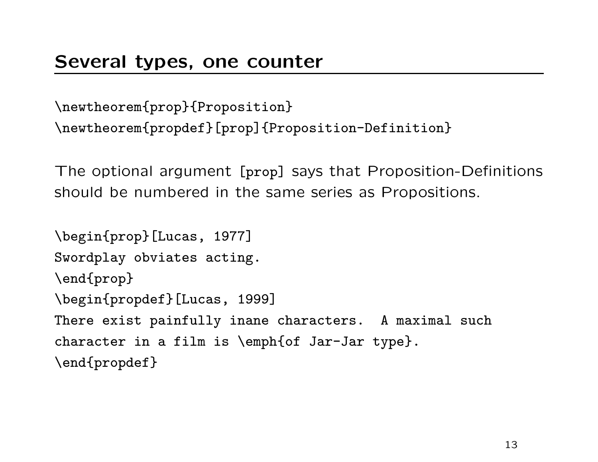```
\newtheorem{prop}{Proposition}
\newtheorem{propdef}[prop]{Proposition-Definition}
```
The optional argument [prop] says that Proposition-Definitions should be numbered in the same series as Propositions.

```
\begin{prop}[Lucas, 1977]
Swordplay obviates acting.
\end{prop}
\begin{propdef}[Lucas, 1999]
There exist painfully inane characters. A maximal such
character in a film is \emph{of Jar-Jar type}.
\end{propdef}
```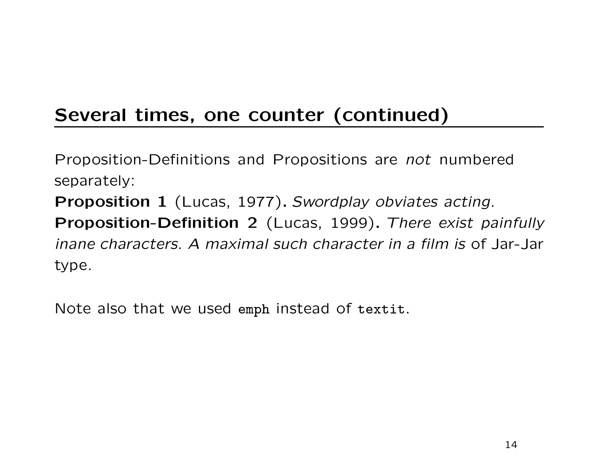# Several times, one counter (continued)

Proposition-Definitions and Propositions are not numbered separately: Proposition 1 (Lucas, 1977). Swordplay obviates acting. Proposition-Definition 2 (Lucas, 1999). There exist painfully inane characters. A maximal such character in a film is of Jar-Jar type.

Note also that we used emph instead of textit.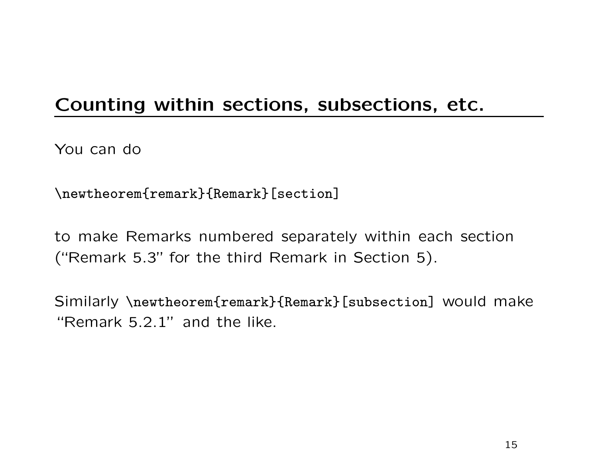# Counting within sections, subsections, etc.

You can do

\newtheorem{remark}{Remark}[section]

to make Remarks numbered separately within each section ("Remark 5.3" for the third Remark in Section 5).

Similarly \newtheorem{remark}{Remark}[subsection] would make "Remark 5.2.1" and the like.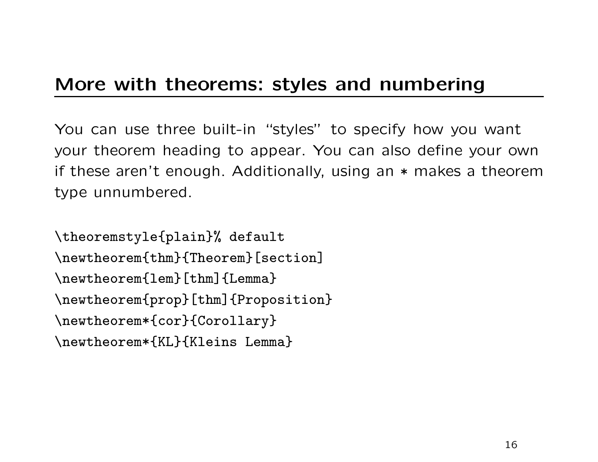### More with theorems: styles and numbering

You can use three built-in "styles" to specify how you want your theorem heading to appear. You can also define your own if these aren't enough. Additionally, using an \* makes a theorem type unnumbered.

\theoremstyle{plain}% default \newtheorem{thm}{Theorem}[section] \newtheorem{lem}[thm]{Lemma} \newtheorem{prop}[thm]{Proposition} \newtheorem\*{cor}{Corollary} \newtheorem\*{KL}{Kleins Lemma}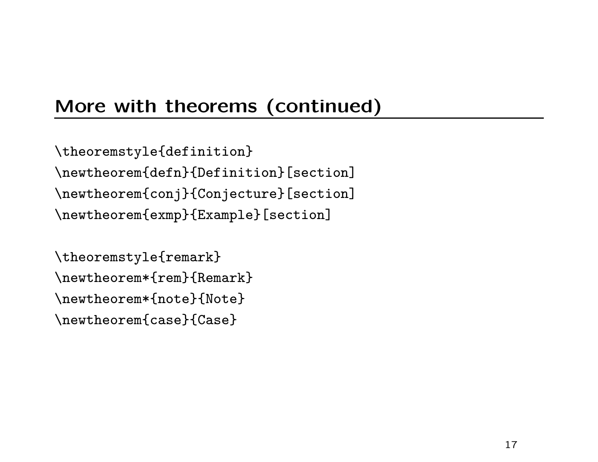# More with theorems (continued)

\theoremstyle{definition} \newtheorem{defn}{Definition}[section] \newtheorem{conj}{Conjecture}[section] \newtheorem{exmp}{Example}[section]

\theoremstyle{remark} \newtheorem\*{rem}{Remark} \newtheorem\*{note}{Note} \newtheorem{case}{Case}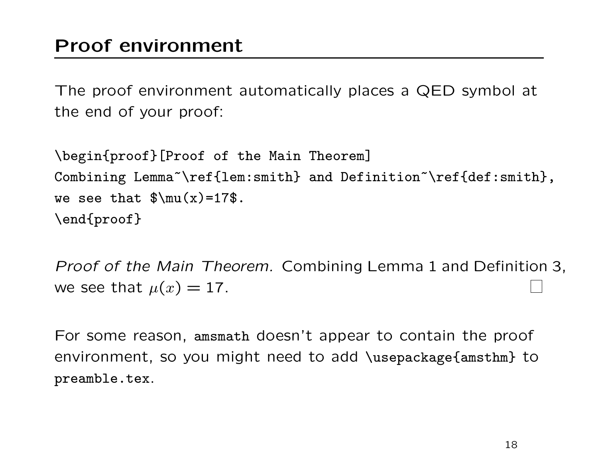The proof environment automatically places a QED symbol at the end of your proof:

\begin{proof}[Proof of the Main Theorem] Combining Lemma~\ref{lem:smith} and Definition~\ref{def:smith}, we see that  $\mu(x)=17\$ . \end{proof}

Proof of the Main Theorem. Combining Lemma 1 and Definition 3, we see that  $\mu(x) = 17$ .

For some reason, amsmath doesn't appear to contain the proof environment, so you might need to add \usepackage{amsthm} to preamble.tex.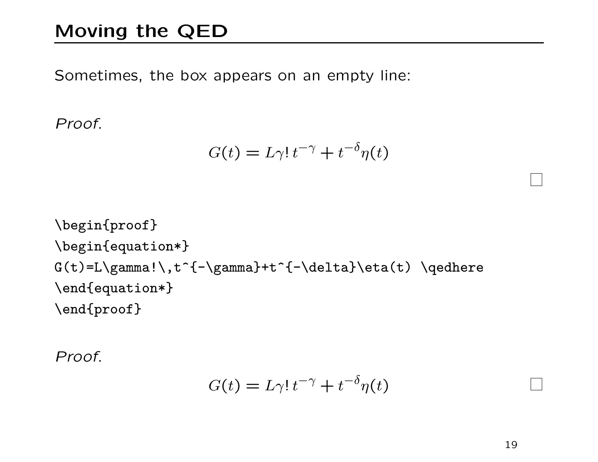# Moving the QED

Sometimes, the box appears on an empty line:

Proof.

$$
G(t) = L\gamma! \, t^{-\gamma} + t^{-\delta}\eta(t)
$$

\begin{proof} \begin{equation\*} G(t)=L\gamma!\,t^{-\gamma}+t^{-\delta}\eta(t) \qedhere \end{equation\*} \end{proof}

Proof.

$$
G(t) = L\gamma! t^{-\gamma} + t^{-\delta}\eta(t)
$$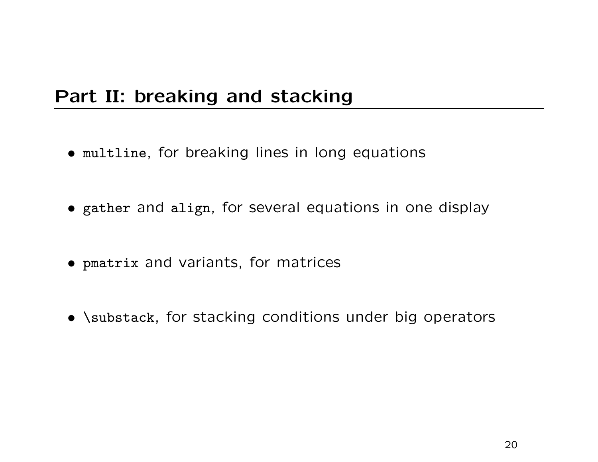### Part II: breaking and stacking

- multline, for breaking lines in long equations
- gather and align, for several equations in one display
- pmatrix and variants, for matrices
- \substack, for stacking conditions under big operators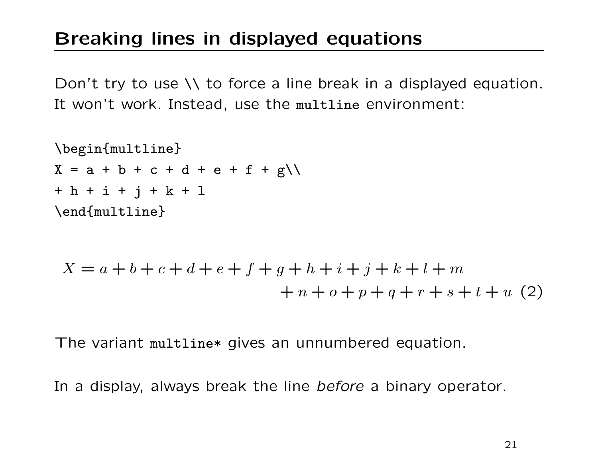# Breaking lines in displayed equations

Don't try to use \\ to force a line break in a displayed equation. It won't work. Instead, use the multline environment:

\begin{multline}  $X = a + b + c + d + e + f + g \$ + h + i + j + k + l \end{multline}

$$
X = a + b + c + d + e + f + g + h + i + j + k + l + m
$$
  
+  $n + o + p + q + r + s + t + u$  (2)

The variant multline\* gives an unnumbered equation.

In a display, always break the line before a binary operator.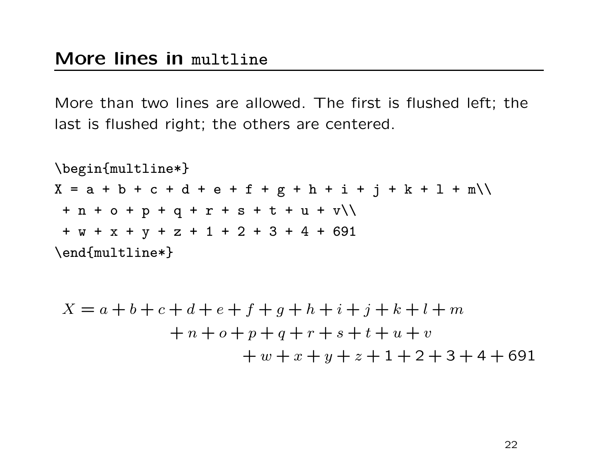More than two lines are allowed. The first is flushed left; the last is flushed right; the others are centered.

\begin{multline\*}  $X = a + b + c + d + e + f + g + h + i + j + k + l + m$  $+ n + o + p + q + r + s + t + u + v$ + w + x + y + z + 1 + 2 + 3 + 4 + 691 \end{multline\*}  $X = a + b + c + d + e + f + q + h + i + j + k + l + m$  $+ n + o + p + q + r + s + t + u + v$  $+ w + x + y + z + 1 + 2 + 3 + 4 + 691$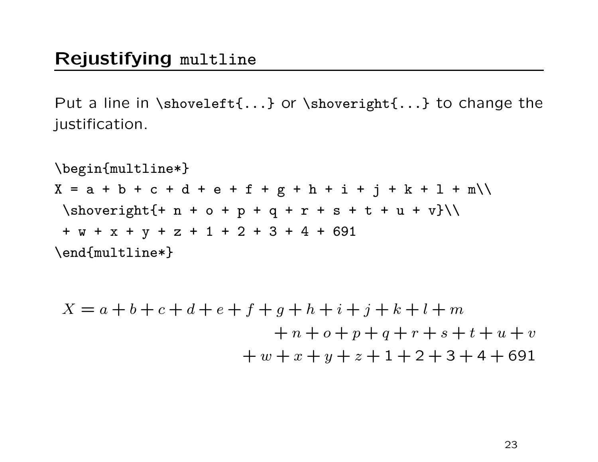#### Rejustifying multline

Put a line in \shoveleft{...} or \shoveright{...} to change the justification.

\begin{multline\*}  $X = a + b + c + d + e + f + g + h + i + j + k + l + m$  $\hbox{shoveright}$  + n + o + p + q + r + s + t + u + v} + w + x + y + z + 1 + 2 + 3 + 4 + 691 \end{multline\*}  $X = a + b + c + d + e + f + g + h + i + j + k + l + m$  $+n + o + p + q + r + s + t + u + v$ 

 $+ w + x + y + z + 1 + 2 + 3 + 4 + 691$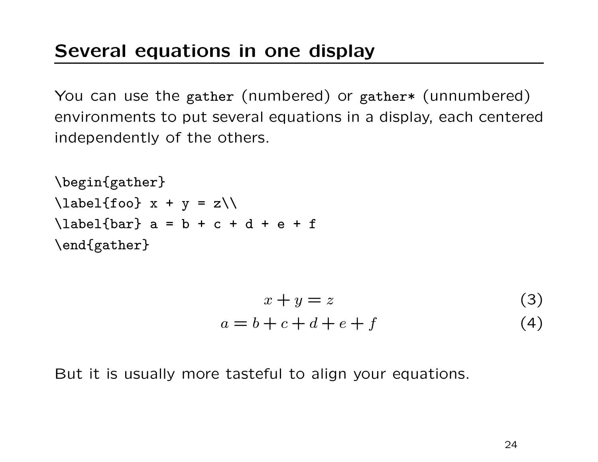You can use the gather (numbered) or gather\* (unnumbered) environments to put several equations in a display, each centered independently of the others.

```
\begin{gather}
\label{labelf} \lambdalabel{foo} x + y = z\lambda\label{labelfbar} \label{bar} a = b + c + d + e + f
\end{gather}
```

$$
x + y = z
$$
\n
$$
a = b + c + d + e + f
$$
\n(3)

But it is usually more tasteful to align your equations.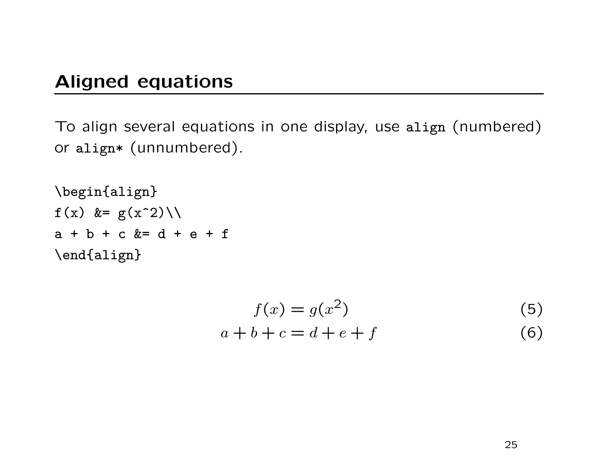### Aligned equations

To align several equations in one display, use align (numbered) or align\* (unnumbered).

\begin{align} f(x) &=  $g(x^2)\$  $a + b + c$  &=  $d + e + f$ \end{align}

$$
f(x) = g(x^2)
$$
\n(5)

$$
a+b+c=d+e+f \tag{6}
$$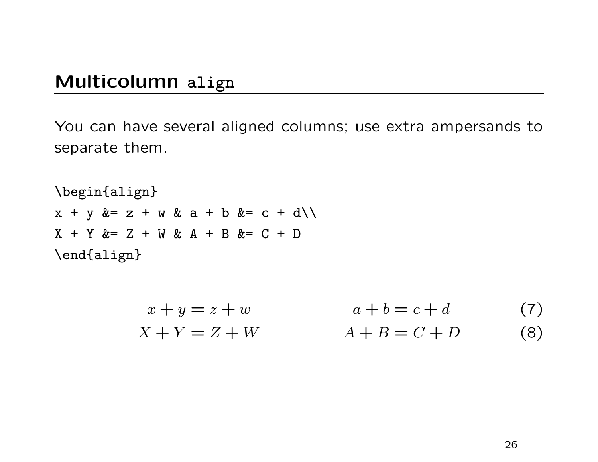#### Multicolumn align

You can have several aligned columns; use extra ampersands to separate them.

\begin{align}  $x + y & = z + w & a + b & = c + d \backslash \backslash$  $X + Y & = Z + W & A + B & = C + D$ \end{align}

$$
x + y = z + w
$$
  
\n
$$
x + Y = Z + W
$$
  
\n
$$
a + b = c + d
$$
  
\n
$$
A + B = C + D
$$
  
\n(7)  
\n(8)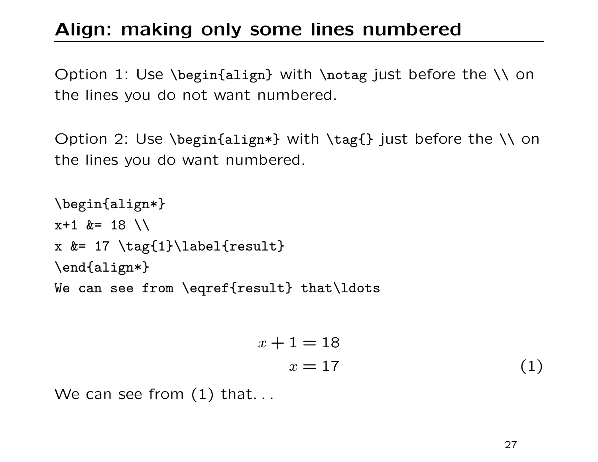# Align: making only some lines numbered

Option 1: Use \begin{align} with \notag just before the \\ on the lines you do not want numbered.

Option 2: Use \begin{align\*} with \tag{} just before the \\ on the lines you do want numbered.

```
\begin{align*}
x+1 &= 18 \\
x &= 17 \tag{1}\label{result}
\end{align*}
We can see from \eqref{result} that\ldots
```

$$
x + 1 = 18
$$

$$
x = 17
$$
 (1)

We can see from  $(1)$  that...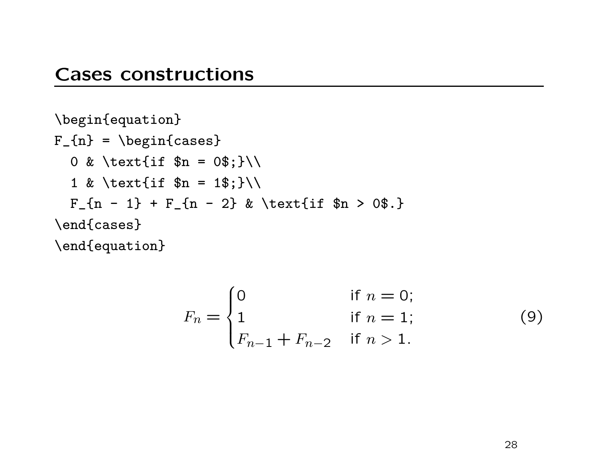#### Cases constructions

```
\begin{equation}
F_{n} = \begin{cases}0 & \text{if \text{sn} = 0\;}\\
  1 & \text{if \text{sn} = 1\;}\\
  F_{n} - 1 + F_{n} - 2 & \text{if $n > 0$.}
\end{cases}
\end{equation}
```

$$
F_n = \begin{cases} 0 & \text{if } n = 0; \\ 1 & \text{if } n = 1; \\ F_{n-1} + F_{n-2} & \text{if } n > 1. \end{cases}
$$
 (9)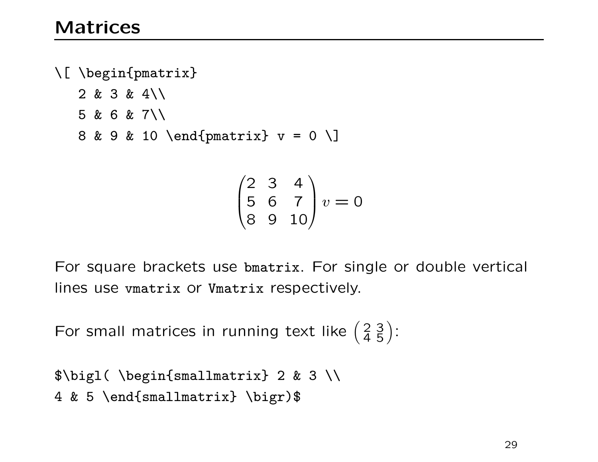\[ \begin{pmatrix} 2 & 3 & 4\\ 5 & 6 & 7\\ 8 & 9 & 10 \end{pmatrix} v = 0 \]

$$
\begin{pmatrix} 2 & 3 & 4 \\ 5 & 6 & 7 \\ 8 & 9 & 10 \end{pmatrix} v = 0
$$

For square brackets use bmatrix. For single or double vertical lines use vmatrix or Vmatrix respectively.

For small matrices in running text like  $\left(\frac{2}{4}\frac{3}{5}\right)$ :

```
$\bigl( \begin{smallmatrix} 2 & 3 \\
4 & 5 \end{smallmatrix} \bigr)$
```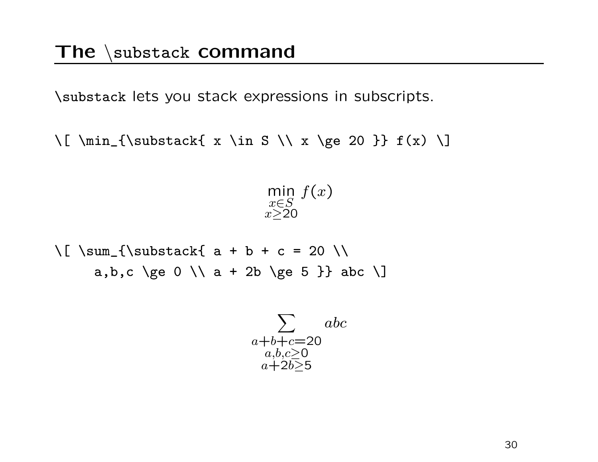\substack lets you stack expressions in subscripts.

\[ \min\_{\substack{ x \in S \\ x \ge 20 }} f(x) \]

min x∈S  $x\geq 20$  $f(x)$ 

 $\lceil$  \sum\_{\substack{ a + b + c = 20 \\ a,b,c \ge 0 \\ a + 2b \ge 5 }} abc \]

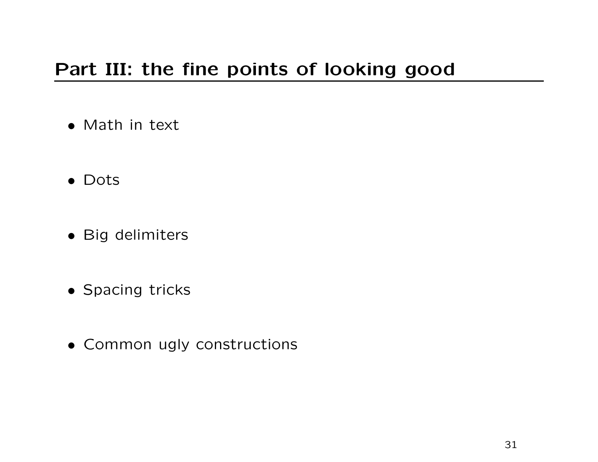# Part III: the fine points of looking good

- Math in text
- Dots
- Big delimiters
- Spacing tricks
- Common ugly constructions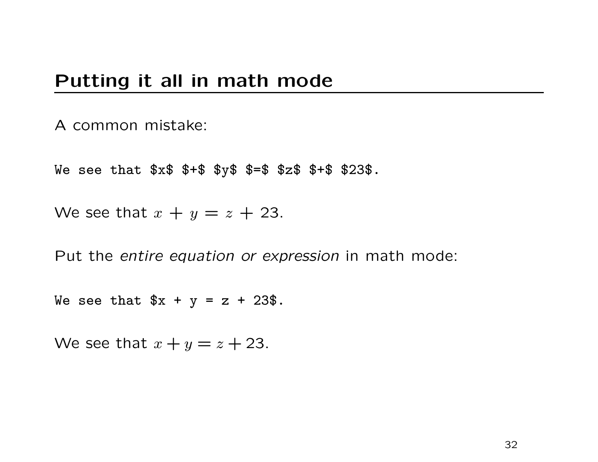#### Putting it all in math mode

#### A common mistake:

We see that \$x\$ \$+\$ \$y\$ \$=\$ \$z\$ \$+\$ \$23\$.

We see that  $x + y = z + 23$ .

Put the entire equation or expression in math mode:

We see that  $x + y = z + 23$ .

We see that  $x + y = z + 23$ .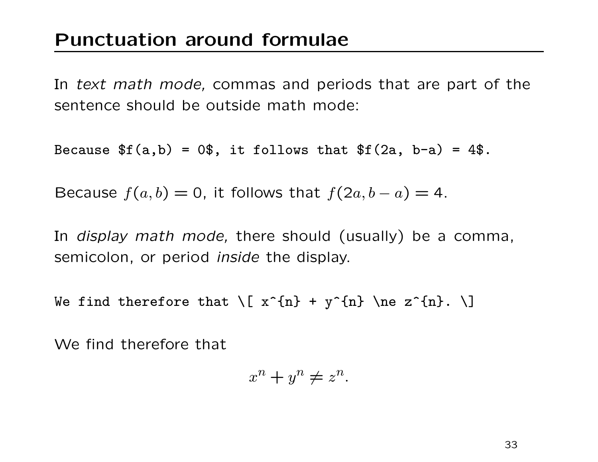In text math mode, commas and periods that are part of the sentence should be outside math mode:

Because  $f(a,b) = 0$ \$, it follows that  $f(2a, b-a) = 4$ \$.

Because  $f(a, b) = 0$ , it follows that  $f(2a, b - a) = 4$ .

In *display math mode*, there should (usually) be a comma, semicolon, or period inside the display.

We find therefore that  $\{ x^{n} + y^{n} \ne 2^{n} \}$ .  $\}$ 

We find therefore that

$$
x^n + y^n \neq z^n.
$$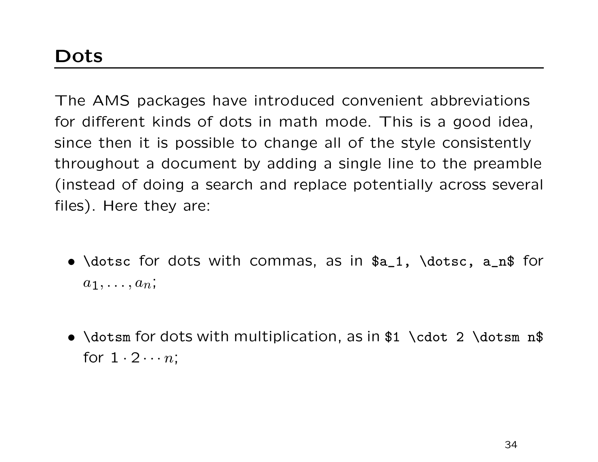The AMS packages have introduced convenient abbreviations for different kinds of dots in math mode. This is a good idea, since then it is possible to change all of the style consistently throughout a document by adding a single line to the preamble (instead of doing a search and replace potentially across several files). Here they are:

- \dotsc for dots with commas, as in \$a\_1, \dotsc, a\_n\$ for  $a_1, \ldots, a_n;$
- \dotsm for dots with multiplication, as in \$1 \cdot 2 \dotsm n\$ for  $1 \cdot 2 \cdots n$ :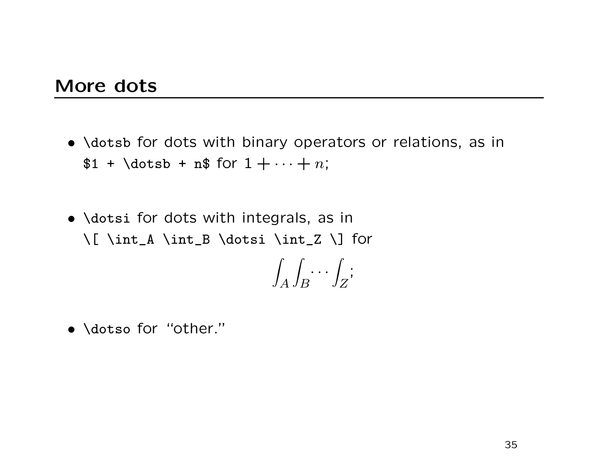#### More dots

- \dotsb for dots with binary operators or relations, as in  $$1 + \dots + n;$
- \dotsi for dots with integrals, as in \[ \int\_A \int\_B \dotsi \int\_Z \] for

$$
\int_A \int_B \cdots \int_Z;
$$

• \dotso for "other."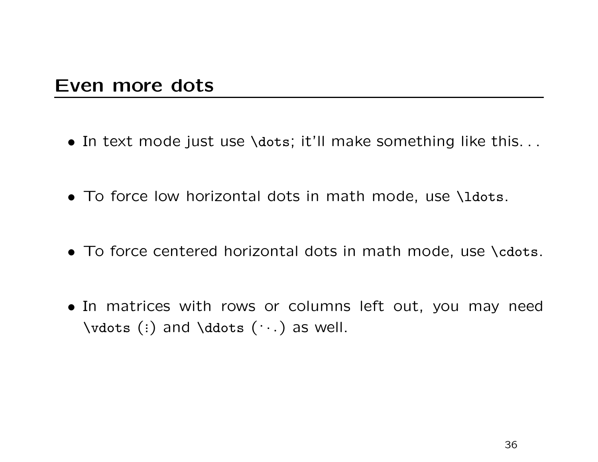#### Even more dots

- In text mode just use \dots; it'll make something like this. . .
- To force low horizontal dots in math mode, use \ldots.
- To force centered horizontal dots in math mode, use \cdots.
- In matrices with rows or columns left out, you may need \vdots (:) and \ddots  $(\cdots)$  as well.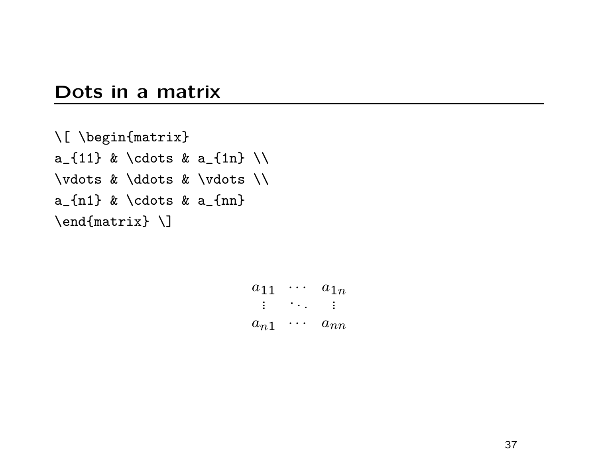#### Dots in a matrix

```
\[ \begin{matrix}
a_{11} & \cdots & a_{1n} \\
\vdots & \ddots & \vdots \\
a_{n} a<sub>-</sub>{n1} & \cdots & a<sub>-</sub>{nn}
\end{matrix} \]
```
 $a_{11} \cdots a_{1n}$ ... ... ...  $a_{n1} \cdots a_{nn}$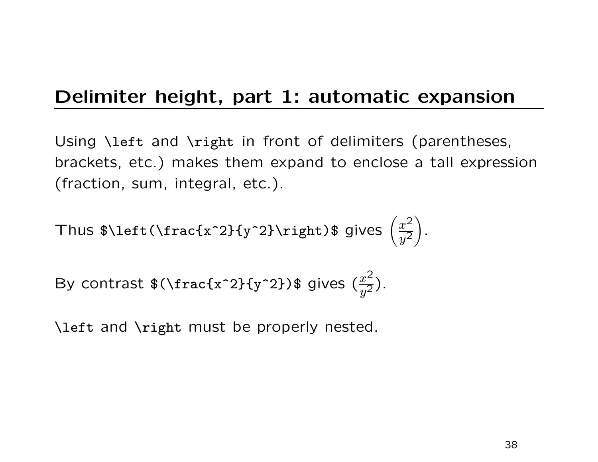# Delimiter height, part 1: automatic expansion

Using \left and \right in front of delimiters (parentheses, brackets, etc.) makes them expand to enclose a tall expression (fraction, sum, integral, etc.).

Thus 
$$
\left(\frac{x^2}{y^2}\right)
$$
.

By contrast 
$$
\sqrt{\frac{2}{x^2}}
$$
 (frac{x^2}{y^2}) $\sqrt{\frac{x^2}{y^2}}$ .

\left and \right must be properly nested.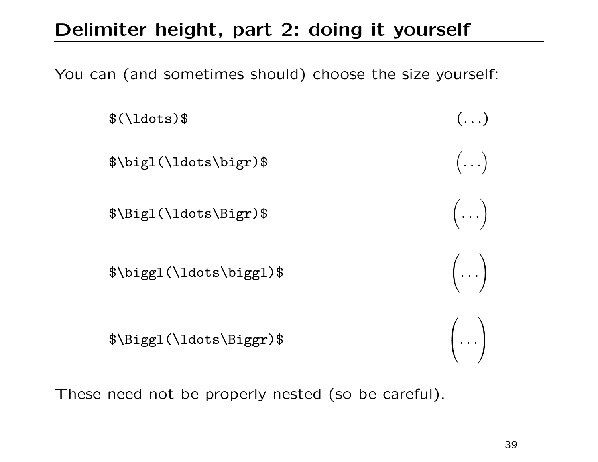# Delimiter height, part 2: doing it yourself

You can (and sometimes should) choose the size yourself:



These need not be properly nested (so be careful).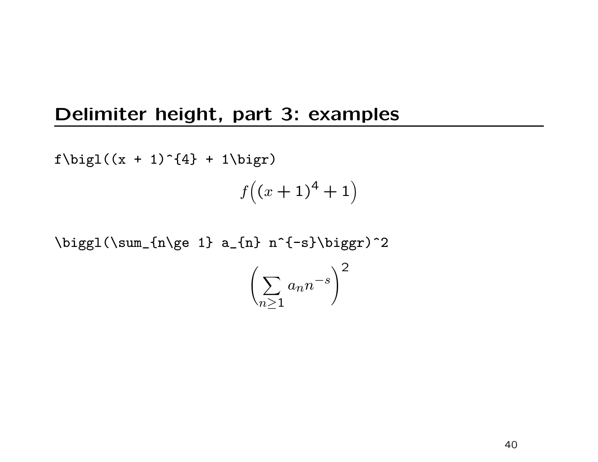### Delimiter height, part 3: examples

 $f\big\{\big\}(x + 1)^{4} + 1\big\}$ 

 $f((x+1)^4+1)$ 

 $\big\{\begin{array}{ccc} \sum_{n\geq 1} a_{n} & n^{-1-s}\big\} \end{array} \right\}$ 

$$
\left(\sum_{n\geq 1} a_n n^{-s}\right)^2
$$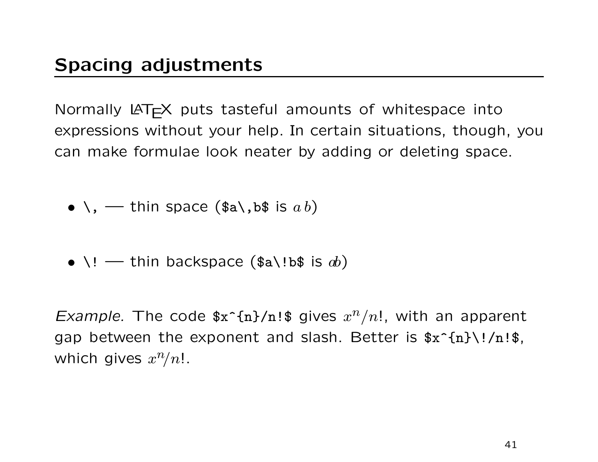Normally  $\text{LAT} \neq X$  puts tasteful amounts of whitespace into expressions without your help. In certain situations, though, you can make formulae look neater by adding or deleting space.

- $\bullet \setminus$ , thin space (\$a\,b\$ is  $a b$ )
- $\vee$ ! thin backspace (\$a $\vee$ !b\$ is  $ab$ )

Example. The code  $x^2_{n}$  (n)/n!\$ gives  $x^n/n!$ , with an apparent gap between the exponent and slash. Better is  $x^{(n)}\$ !/n!\$, which gives  $x^n/n!$ .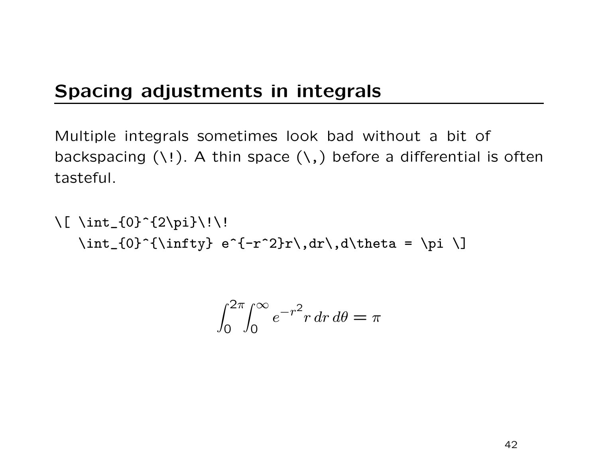## Spacing adjustments in integrals

Multiple integrals sometimes look bad without a bit of backspacing  $( \n\cdot \cdot )$ . A thin space  $( \cdot , )$  before a differential is often tasteful.

 $\lceil \int_{0}^{2\pi}$  $\int_{0}^{{\infty} {\int f(t)} e^{-r^2}r\,dr\,d\theta = \pi \$ 

$$
\int_0^{2\pi} \int_0^{\infty} e^{-r^2} r \, dr \, d\theta = \pi
$$